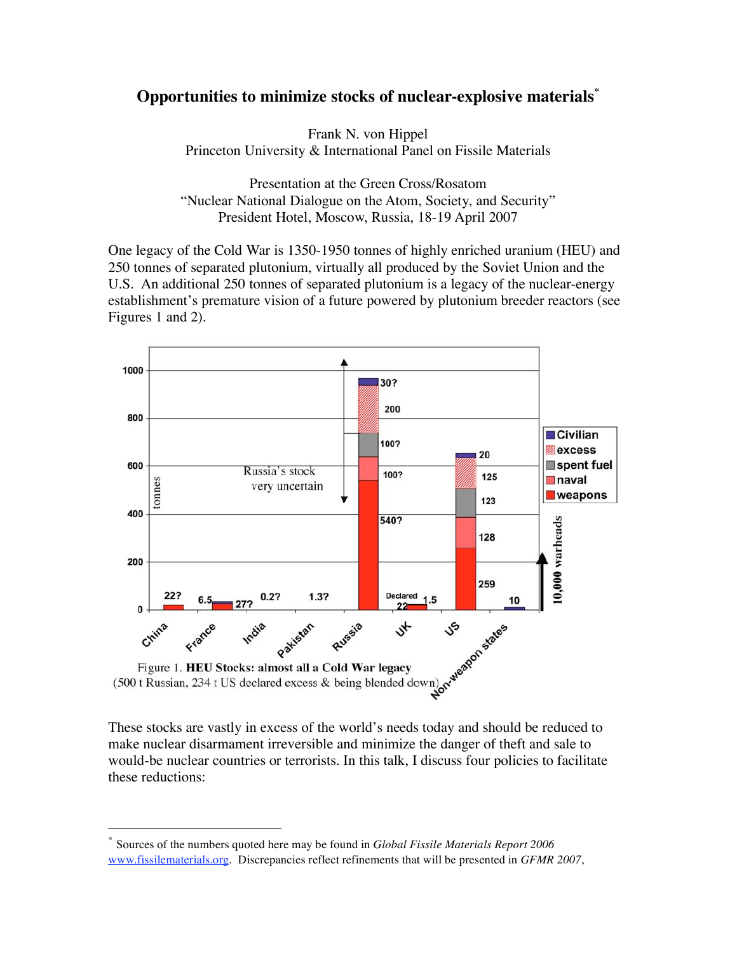## **Opportunities to minimize stocks of nuclear-explosive materials\***

Frank N. von Hippel Princeton University & International Panel on Fissile Materials

Presentation at the Green Cross/Rosatom "Nuclear National Dialogue on the Atom, Society, and Security" President Hotel, Moscow, Russia, 18-19 April 2007

One legacy of the Cold War is 1350-1950 tonnes of highly enriched uranium (HEU) and 250 tonnes of separated plutonium, virtually all produced by the Soviet Union and the U.S. An additional 250 tonnes of separated plutonium is a legacy of the nuclear-energy establishment's premature vision of a future powered by plutonium breeder reactors (see Figures 1 and 2).



make nuclear disarmament irreversible and minimize the danger of theft and sale to would-be nuclear countries or terrorists. In this talk, I discuss four policies to facilitate these reductions:

 <sup>\*</sup> Sources of the numbers quoted here may be found in *Global Fissile Materials Report <sup>2006</sup>* www.fissilematerials.org. Discrepancies reflect refinements that will be presented in *GFMR 2007*,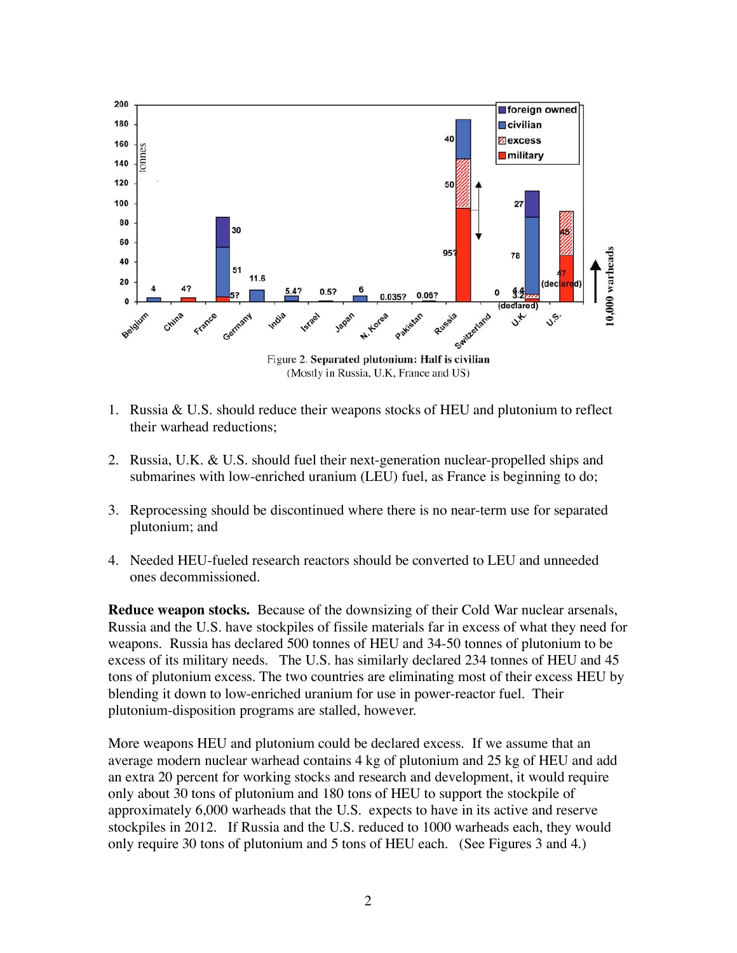

- 1. Russia & U.S. should reduce their weapons stocks of HEU and plutonium to reflect their warhead reductions;
- 2. Russia, U.K. & U.S. should fuel their next-generation nuclear-propelled ships and submarines with low-enriched uranium (LEU) fuel, as France is beginning to do;
- 3. Reprocessing should be discontinued where there is no near-term use for separated plutonium; and
- 4. Needed HEU-fueled research reactors should be converted to LEU and unneeded ones decommissioned.

**Reduce weapon stocks.** Because of the downsizing of their Cold War nuclear arsenals, Russia and the U.S. have stockpiles of fissile materials far in excess of what they need for weapons. Russia has declared 500 tonnes of HEU and 34-50 tonnes of plutonium to be excess of its military needs. The U.S. has similarly declared 234 tonnes of HEU and 45 tons of plutonium excess. The two countries are eliminating most of their excess HEU by blending it down to low-enriched uranium for use in power-reactor fuel. Their plutonium-disposition programs are stalled, however.

More weapons HEU and plutonium could be declared excess. If we assume that an average modern nuclear warhead contains 4 kg of plutonium and 25 kg of HEU and add an extra 20 percent for working stocks and research and development, it would require only about 30 tons of plutonium and 180 tons of HEU to support the stockpile of approximately 6,000 warheads that the U.S. expects to have in its active and reserve stockpiles in 2012. If Russia and the U.S. reduced to 1000 warheads each, they would only require 30 tons of plutonium and 5 tons of HEU each. (See Figures 3 and 4.)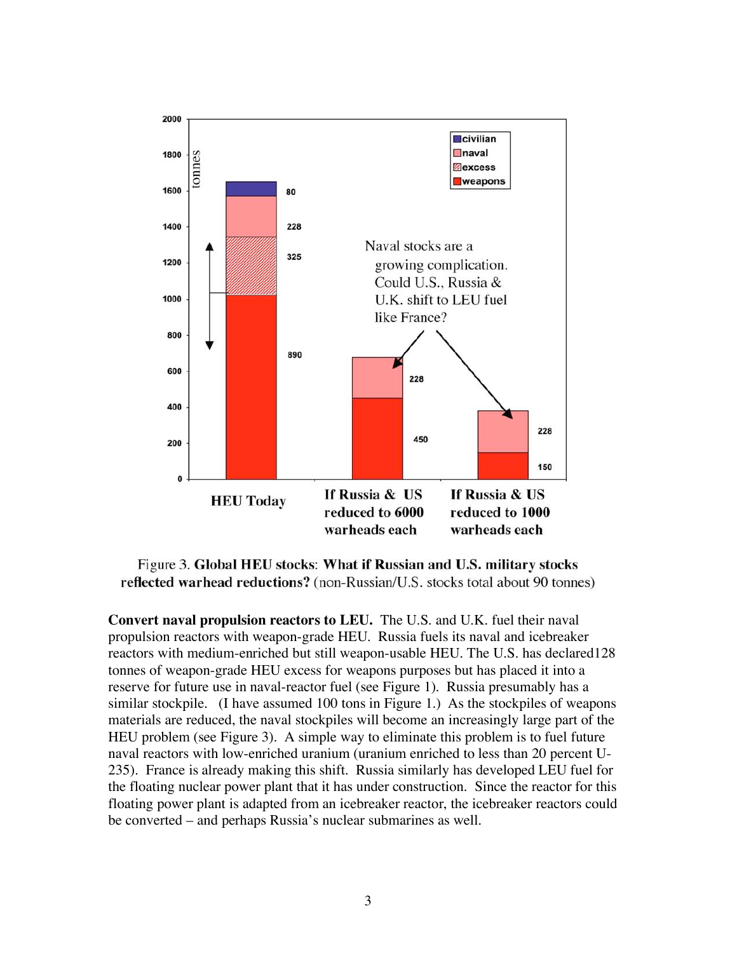

Figure 3. Global HEU stocks: What if Russian and U.S. military stocks reflected warhead reductions? (non-Russian/U.S. stocks total about 90 tonnes)

**Convert naval propulsion reactors to LEU.** The U.S. and U.K. fuel their naval propulsion reactors with weapon-grade HEU. Russia fuels its naval and icebreaker reactors with medium-enriched but still weapon-usable HEU. The U.S. has declared128 tonnes of weapon-grade HEU excess for weapons purposes but has placed it into a reserve for future use in naval-reactor fuel (see Figure 1). Russia presumably has a similar stockpile. (I have assumed 100 tons in Figure 1.) As the stockpiles of weapons materials are reduced, the naval stockpiles will become an increasingly large part of the HEU problem (see Figure 3). A simple way to eliminate this problem is to fuel future naval reactors with low-enriched uranium (uranium enriched to less than 20 percent U-235). France is already making this shift. Russia similarly has developed LEU fuel for the floating nuclear power plant that it has under construction. Since the reactor for this floating power plant is adapted from an icebreaker reactor, the icebreaker reactors could be converted – and perhaps Russia's nuclear submarines as well.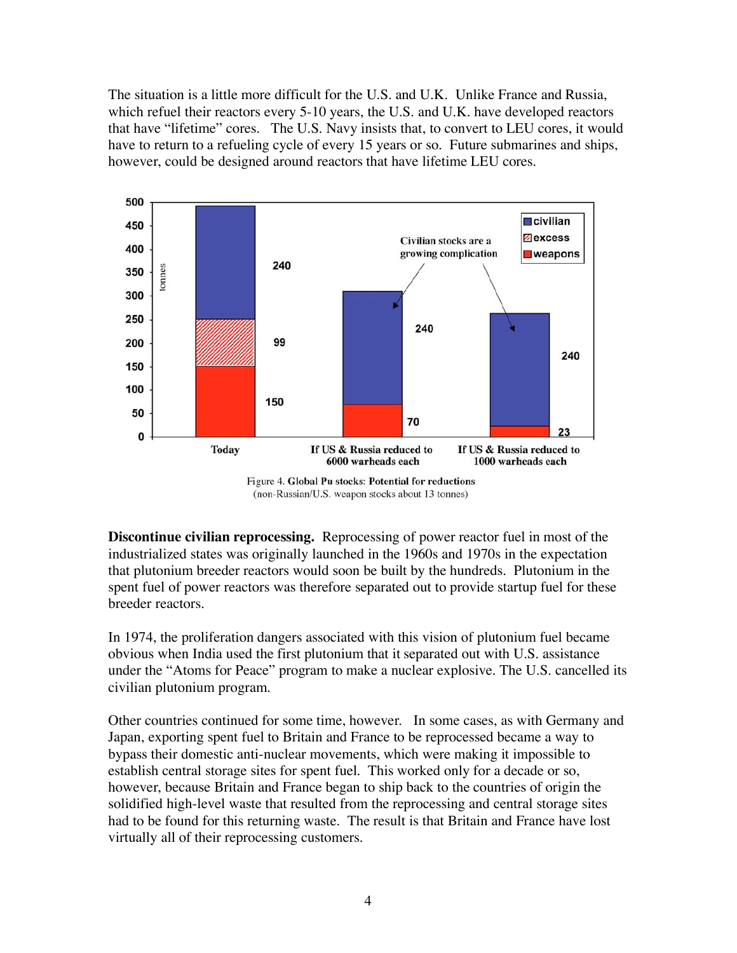The situation is a little more difficult for the U.S. and U.K. Unlike France and Russia, which refuel their reactors every 5-10 years, the U.S. and U.K. have developed reactors that have "lifetime" cores. The U.S. Navy insists that, to convert to LEU cores, it would have to return to a refueling cycle of every 15 years or so. Future submarines and ships, however, could be designed around reactors that have lifetime LEU cores.



Figure 4. Global Pu stocks: Potential for reductions (non-Russian/U.S. weapon stocks about 13 tonnes)

**Discontinue civilian reprocessing.** Reprocessing of power reactor fuel in most of the industrialized states was originally launched in the 1960s and 1970s in the expectation that plutonium breeder reactors would soon be built by the hundreds. Plutonium in the spent fuel of power reactors was therefore separated out to provide startup fuel for these breeder reactors.

In 1974, the proliferation dangers associated with this vision of plutonium fuel became obvious when India used the first plutonium that it separated out with U.S. assistance under the "Atoms for Peace" program to make a nuclear explosive. The U.S. cancelled its civilian plutonium program.

Other countries continued for some time, however. In some cases, as with Germany and Japan, exporting spent fuel to Britain and France to be reprocessed became a way to bypass their domestic anti-nuclear movements, which were making it impossible to establish central storage sites for spent fuel. This worked only for a decade or so, however, because Britain and France began to ship back to the countries of origin the solidified high-level waste that resulted from the reprocessing and central storage sites had to be found for this returning waste. The result is that Britain and France have lost virtually all of their reprocessing customers.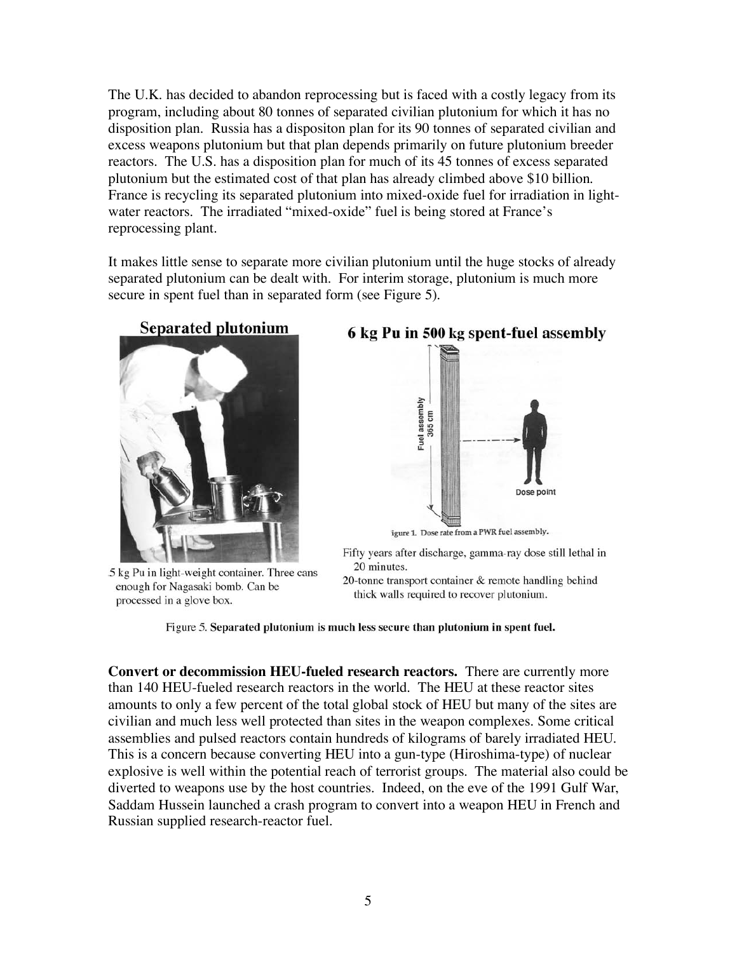The U.K. has decided to abandon reprocessing but is faced with a costly legacy from its program, including about 80 tonnes of separated civilian plutonium for which it has no disposition plan. Russia has a dispositon plan for its 90 tonnes of separated civilian and excess weapons plutonium but that plan depends primarily on future plutonium breeder reactors. The U.S. has a disposition plan for much of its 45 tonnes of excess separated plutonium but the estimated cost of that plan has already climbed above \$10 billion. France is recycling its separated plutonium into mixed-oxide fuel for irradiation in lightwater reactors. The irradiated "mixed-oxide" fuel is being stored at France's reprocessing plant.

It makes little sense to separate more civilian plutonium until the huge stocks of already separated plutonium can be dealt with. For interim storage, plutonium is much more secure in spent fuel than in separated form (see Figure 5).



5 kg Pu in light-weight container. Three cans enough for Nagasaki bomb. Can be processed in a glove box.



Fifty years after discharge, gamma-ray dose still lethal in 20 minutes.

20-tonne transport container & remote handling behind thick walls required to recover plutonium.

Figure 5. Separated plutonium is much less secure than plutonium in spent fuel.

**Convert or decommission HEU-fueled research reactors.** There are currently more than 140 HEU-fueled research reactors in the world. The HEU at these reactor sites amounts to only a few percent of the total global stock of HEU but many of the sites are civilian and much less well protected than sites in the weapon complexes. Some critical assemblies and pulsed reactors contain hundreds of kilograms of barely irradiated HEU. This is a concern because converting HEU into a gun-type (Hiroshima-type) of nuclear explosive is well within the potential reach of terrorist groups. The material also could be diverted to weapons use by the host countries. Indeed, on the eve of the 1991 Gulf War, Saddam Hussein launched a crash program to convert into a weapon HEU in French and Russian supplied research-reactor fuel.